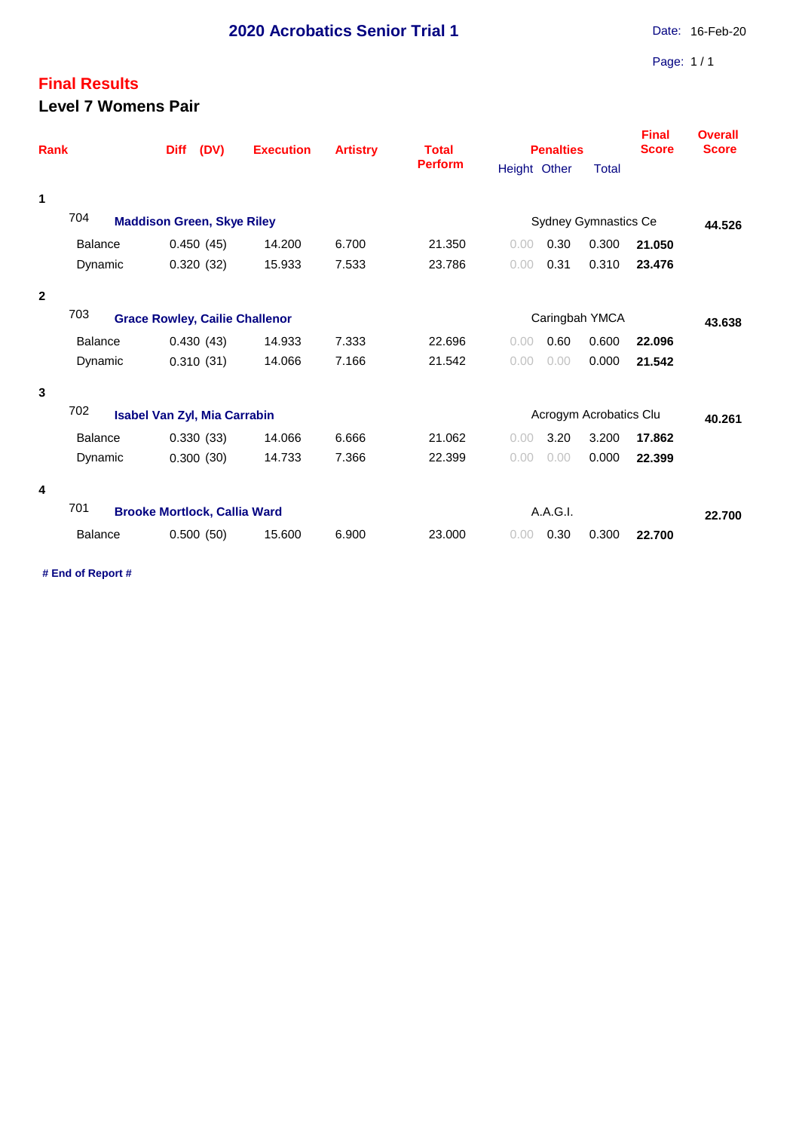## **Final Results Level 7 Womens Pair**

| <b>Rank</b>  |                                              | (DV)<br><b>Diff</b>               | <b>Execution</b>       | <b>Artistry</b> | <b>Total</b><br><b>Perform</b> |                             | <b>Penalties</b> | <b>Final</b><br><b>Score</b> | <b>Overall</b><br><b>Score</b> |  |
|--------------|----------------------------------------------|-----------------------------------|------------------------|-----------------|--------------------------------|-----------------------------|------------------|------------------------------|--------------------------------|--|
|              |                                              |                                   | Height Other           |                 |                                |                             | <b>Total</b>     |                              |                                |  |
| 1            |                                              |                                   |                        |                 |                                |                             |                  |                              |                                |  |
|              | 704                                          | <b>Maddison Green, Skye Riley</b> |                        |                 |                                | <b>Sydney Gymnastics Ce</b> |                  |                              |                                |  |
|              | <b>Balance</b>                               | 0.450(45)                         | 14.200                 | 6.700           | 21.350                         | 0.00                        | 0.30             | 0.300                        | 21.050                         |  |
|              | Dynamic                                      | 0.320(32)                         | 15.933                 | 7.533           | 23.786                         | 0.00                        | 0.31             | 0.310                        | 23.476                         |  |
| $\mathbf{2}$ |                                              |                                   |                        |                 |                                |                             |                  |                              |                                |  |
|              | 703<br><b>Grace Rowley, Cailie Challenor</b> |                                   | Caringbah YMCA         | 43.638          |                                |                             |                  |                              |                                |  |
|              | <b>Balance</b>                               | 0.430(43)                         | 14.933                 | 7.333           | 22.696                         | 0.00                        | 0.60             | 0.600                        | 22.096                         |  |
|              | Dynamic                                      | 0.310(31)                         | 14.066                 | 7.166           | 21.542                         | 0.00                        | 0.00             | 0.000                        | 21.542                         |  |
| 3            |                                              |                                   |                        |                 |                                |                             |                  |                              |                                |  |
|              | 702<br><b>Isabel Van Zyl, Mia Carrabin</b>   |                                   | Acrogym Acrobatics Clu |                 |                                |                             | 40.261           |                              |                                |  |
|              | <b>Balance</b>                               | 0.330(33)                         | 14.066                 | 6.666           | 21.062                         | 0.00                        | 3.20             | 3.200                        | 17.862                         |  |
|              | Dynamic                                      | 0.300(30)                         | 14.733                 | 7.366           | 22.399                         | 0.00                        | 0.00             | 0.000                        | 22.399                         |  |
| 4            |                                              |                                   |                        |                 |                                |                             |                  |                              |                                |  |
|              | 701<br><b>Brooke Mortlock, Callia Ward</b>   | A.A.G.I.                          |                        |                 |                                |                             | 22.700           |                              |                                |  |
|              | <b>Balance</b>                               | 0.500(50)                         | 15.600                 | 6.900           | 23,000                         | 0.00                        | 0.30             | 0.300                        | 22.700                         |  |

**# End of Report #**